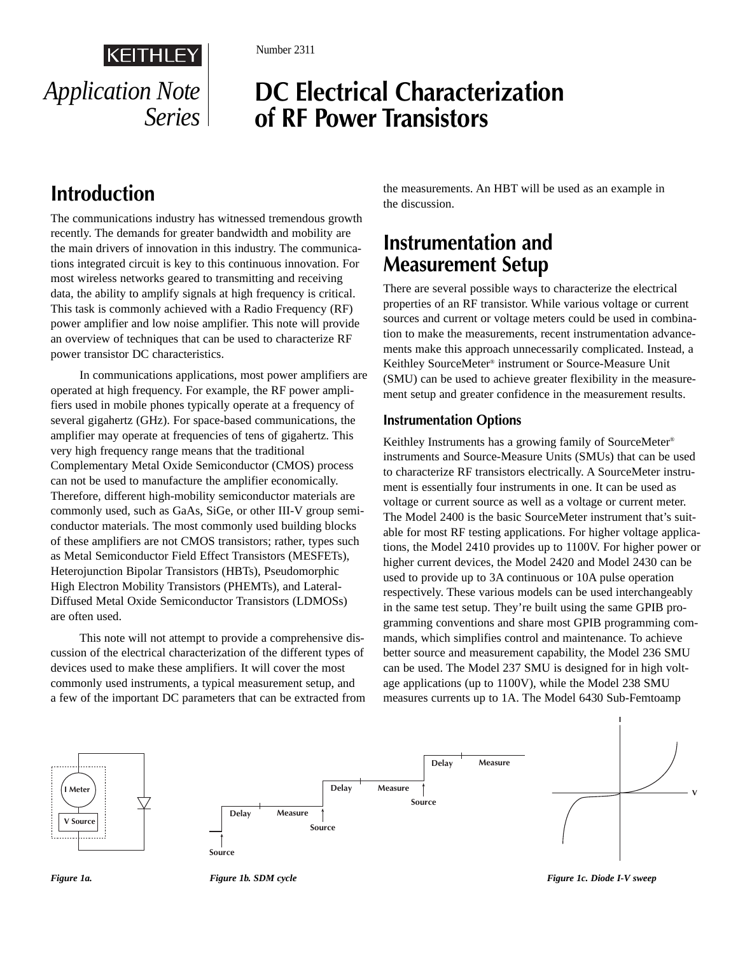

Number 2311

# **DC Electrical Characterization of RF Power Transistors**

# **Introduction**

The communications industry has witnessed tremendous growth recently. The demands for greater bandwidth and mobility are the main drivers of innovation in this industry. The communications integrated circuit is key to this continuous innovation. For most wireless networks geared to transmitting and receiving data, the ability to amplify signals at high frequency is critical. This task is commonly achieved with a Radio Frequency (RF) power amplifier and low noise amplifier. This note will provide an overview of techniques that can be used to characterize RF power transistor DC characteristics.

In communications applications, most power amplifiers are operated at high frequency. For example, the RF power amplifiers used in mobile phones typically operate at a frequency of several gigahertz (GHz). For space-based communications, the amplifier may operate at frequencies of tens of gigahertz. This very high frequency range means that the traditional Complementary Metal Oxide Semiconductor (CMOS) process can not be used to manufacture the amplifier economically. Therefore, different high-mobility semiconductor materials are commonly used, such as GaAs, SiGe, or other III-V group semiconductor materials. The most commonly used building blocks of these amplifiers are not CMOS transistors; rather, types such as Metal Semiconductor Field Effect Transistors (MESFETs), Heterojunction Bipolar Transistors (HBTs), Pseudomorphic High Electron Mobility Transistors (PHEMTs), and Lateral-Diffused Metal Oxide Semiconductor Transistors (LDMOSs) are often used.

This note will not attempt to provide a comprehensive discussion of the electrical characterization of the different types of devices used to make these amplifiers. It will cover the most commonly used instruments, a typical measurement setup, and a few of the important DC parameters that can be extracted from the measurements. An HBT will be used as an example in the discussion.

## **Instrumentation and Measurement Setup**

There are several possible ways to characterize the electrical properties of an RF transistor. While various voltage or current sources and current or voltage meters could be used in combination to make the measurements, recent instrumentation advancements make this approach unnecessarily complicated. Instead, a Keithley SourceMeter® instrument or Source-Measure Unit (SMU) can be used to achieve greater flexibility in the measurement setup and greater confidence in the measurement results.

### **Instrumentation Options**

Keithley Instruments has a growing family of SourceMeter® instruments and Source-Measure Units (SMUs) that can be used to characterize RF transistors electrically. A SourceMeter instrument is essentially four instruments in one. It can be used as voltage or current source as well as a voltage or current meter. The Model 2400 is the basic SourceMeter instrument that's suitable for most RF testing applications. For higher voltage applications, the Model 2410 provides up to 1100V. For higher power or higher current devices, the Model 2420 and Model 2430 can be used to provide up to 3A continuous or 10A pulse operation respectively. These various models can be used interchangeably in the same test setup. They're built using the same GPIB programming conventions and share most GPIB programming commands, which simplifies control and maintenance. To achieve better source and measurement capability, the Model 236 SMU can be used. The Model 237 SMU is designed for in high voltage applications (up to 1100V), while the Model 238 SMU measures currents up to 1A. The Model 6430 Sub-Femtoamp





*Figure 1a.* Figure 1b. SDM cycle Figure 1b. SDM cycle Figure 1c. Diode I-V sweep

**I**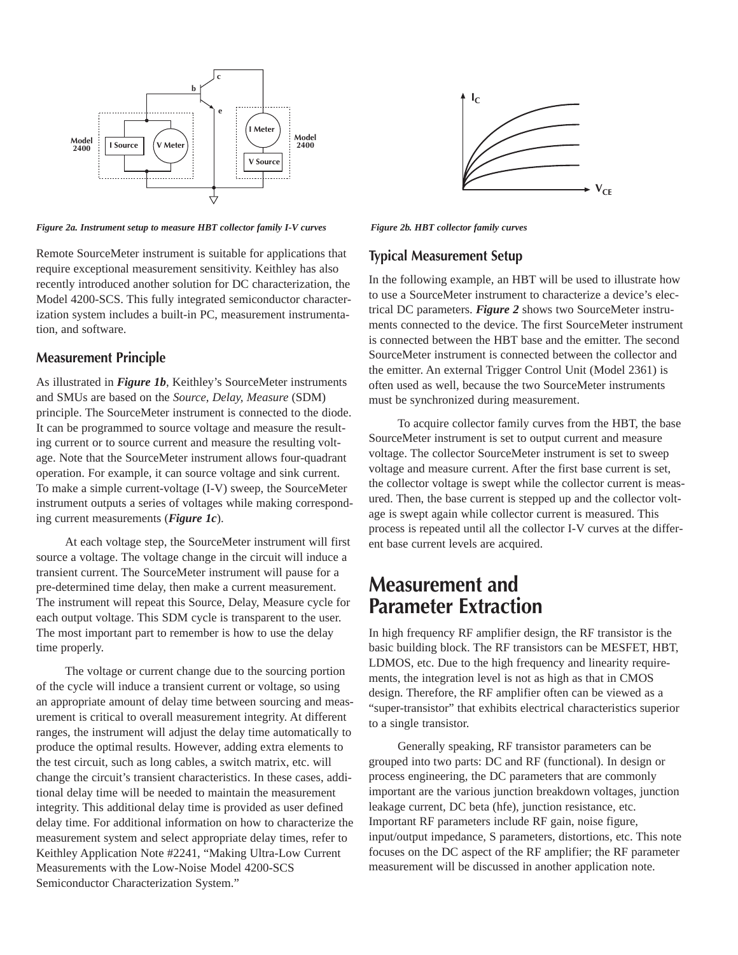

*Figure 2a. Instrument setup to measure HBT collector family I-V curves* Figure 2b. HBT collector family curves

Remote SourceMeter instrument is suitable for applications that require exceptional measurement sensitivity. Keithley has also recently introduced another solution for DC characterization, the Model 4200-SCS. This fully integrated semiconductor characterization system includes a built-in PC, measurement instrumentation, and software.

#### **Measurement Principle**

As illustrated in *Figure 1b*, Keithley's SourceMeter instruments and SMUs are based on the *Source, Delay, Measure* (SDM) principle. The SourceMeter instrument is connected to the diode. It can be programmed to source voltage and measure the resulting current or to source current and measure the resulting voltage. Note that the SourceMeter instrument allows four-quadrant operation. For example, it can source voltage and sink current. To make a simple current-voltage (I-V) sweep, the SourceMeter instrument outputs a series of voltages while making corresponding current measurements (*Figure 1c*).

At each voltage step, the SourceMeter instrument will first source a voltage. The voltage change in the circuit will induce a transient current. The SourceMeter instrument will pause for a pre-determined time delay, then make a current measurement. The instrument will repeat this Source, Delay, Measure cycle for each output voltage. This SDM cycle is transparent to the user. The most important part to remember is how to use the delay time properly.

The voltage or current change due to the sourcing portion of the cycle will induce a transient current or voltage, so using an appropriate amount of delay time between sourcing and measurement is critical to overall measurement integrity. At different ranges, the instrument will adjust the delay time automatically to produce the optimal results. However, adding extra elements to the test circuit, such as long cables, a switch matrix, etc. will change the circuit's transient characteristics. In these cases, additional delay time will be needed to maintain the measurement integrity. This additional delay time is provided as user defined delay time. For additional information on how to characterize the measurement system and select appropriate delay times, refer to Keithley Application Note #2241, "Making Ultra-Low Current Measurements with the Low-Noise Model 4200-SCS Semiconductor Characterization System."



#### **Typical Measurement Setup**

In the following example, an HBT will be used to illustrate how to use a SourceMeter instrument to characterize a device's electrical DC parameters. *Figure 2* shows two SourceMeter instruments connected to the device. The first SourceMeter instrument is connected between the HBT base and the emitter. The second SourceMeter instrument is connected between the collector and the emitter. An external Trigger Control Unit (Model 2361) is often used as well, because the two SourceMeter instruments must be synchronized during measurement.

To acquire collector family curves from the HBT, the base SourceMeter instrument is set to output current and measure voltage. The collector SourceMeter instrument is set to sweep voltage and measure current. After the first base current is set, the collector voltage is swept while the collector current is measured. Then, the base current is stepped up and the collector voltage is swept again while collector current is measured. This process is repeated until all the collector I-V curves at the different base current levels are acquired.

### **Measurement and Parameter Extraction**

In high frequency RF amplifier design, the RF transistor is the basic building block. The RF transistors can be MESFET, HBT, LDMOS, etc. Due to the high frequency and linearity requirements, the integration level is not as high as that in CMOS design. Therefore, the RF amplifier often can be viewed as a "super-transistor" that exhibits electrical characteristics superior to a single transistor.

Generally speaking, RF transistor parameters can be grouped into two parts: DC and RF (functional). In design or process engineering, the DC parameters that are commonly important are the various junction breakdown voltages, junction leakage current, DC beta (hfe), junction resistance, etc. Important RF parameters include RF gain, noise figure, input/output impedance, S parameters, distortions, etc. This note focuses on the DC aspect of the RF amplifier; the RF parameter measurement will be discussed in another application note.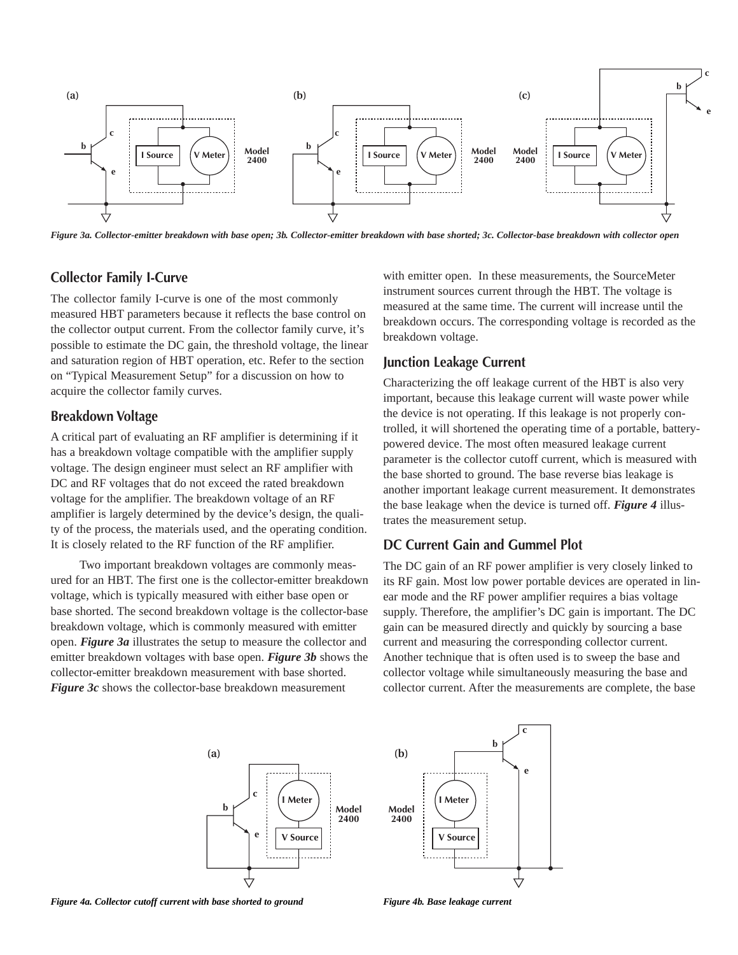

*Figure 3a. Collector-emitter breakdown with base open; 3b. Collector-emitter breakdown with base shorted; 3c. Collector-base breakdown with collector open*

#### **Collector Family I-Curve**

The collector family I-curve is one of the most commonly measured HBT parameters because it reflects the base control on the collector output current. From the collector family curve, it's possible to estimate the DC gain, the threshold voltage, the linear and saturation region of HBT operation, etc. Refer to the section on "Typical Measurement Setup" for a discussion on how to acquire the collector family curves.

#### **Breakdown Voltage**

A critical part of evaluating an RF amplifier is determining if it has a breakdown voltage compatible with the amplifier supply voltage. The design engineer must select an RF amplifier with DC and RF voltages that do not exceed the rated breakdown voltage for the amplifier. The breakdown voltage of an RF amplifier is largely determined by the device's design, the quality of the process, the materials used, and the operating condition. It is closely related to the RF function of the RF amplifier.

Two important breakdown voltages are commonly measured for an HBT. The first one is the collector-emitter breakdown voltage, which is typically measured with either base open or base shorted. The second breakdown voltage is the collector-base breakdown voltage, which is commonly measured with emitter open. *Figure 3a* illustrates the setup to measure the collector and emitter breakdown voltages with base open. *Figure 3b* shows the collector-emitter breakdown measurement with base shorted. *Figure 3c* shows the collector-base breakdown measurement

with emitter open. In these measurements, the SourceMeter instrument sources current through the HBT. The voltage is measured at the same time. The current will increase until the breakdown occurs. The corresponding voltage is recorded as the breakdown voltage.

#### **Junction Leakage Current**

Characterizing the off leakage current of the HBT is also very important, because this leakage current will waste power while the device is not operating. If this leakage is not properly controlled, it will shortened the operating time of a portable, batterypowered device. The most often measured leakage current parameter is the collector cutoff current, which is measured with the base shorted to ground. The base reverse bias leakage is another important leakage current measurement. It demonstrates the base leakage when the device is turned off. *Figure 4* illustrates the measurement setup.

#### **DC Current Gain and Gummel Plot**

The DC gain of an RF power amplifier is very closely linked to its RF gain. Most low power portable devices are operated in linear mode and the RF power amplifier requires a bias voltage supply. Therefore, the amplifier's DC gain is important. The DC gain can be measured directly and quickly by sourcing a base current and measuring the corresponding collector current. Another technique that is often used is to sweep the base and collector voltage while simultaneously measuring the base and collector current. After the measurements are complete, the base



*Figure 4a. Collector cutoff current with base shorted to ground* Figure 4b. Base leakage current